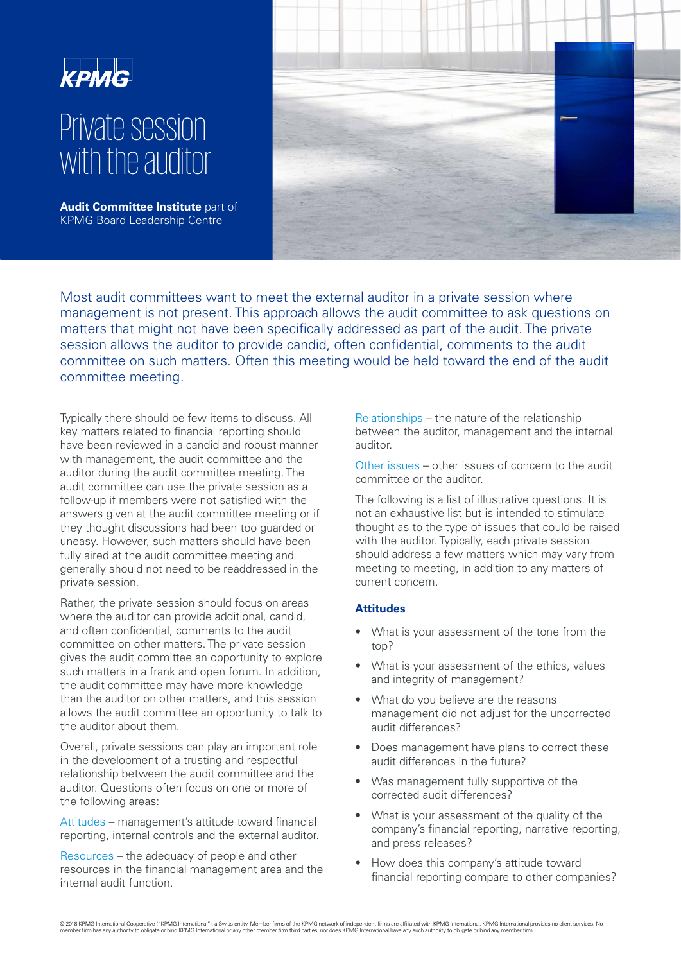

# Private session with the auditor

**Audit Committee Institute part of** KPMG Board Leadership Centre



Most audit committees want to meet the external auditor in a private session where management is not present. This approach allows the audit committee to ask questions on matters that might not have been specifically addressed as part of the audit. The private session allows the auditor to provide candid, often confidential, comments to the audit committee on such matters. Often this meeting would be held toward the end of the audit committee meeting.

Typically there should be few items to discuss. All key matters related to financial reporting should have been reviewed in a candid and robust manner with management, the audit committee and the auditor during the audit committee meeting. The audit committee can use the private session as a follow-up if members were not satisfied with the answers given at the audit committee meeting or if they thought discussions had been too guarded or uneasy. However, such matters should have been fully aired at the audit committee meeting and generally should not need to be readdressed in the private session.

Rather, the private session should focus on areas where the auditor can provide additional, candid, and often confidential, comments to the audit committee on other matters. The private session gives the audit committee an opportunity to explore such matters in a frank and open forum. In addition, the audit committee may have more knowledge than the auditor on other matters, and this session allows the audit committee an opportunity to talk to the auditor about them.

Overall, private sessions can play an important role in the development of a trusting and respectful relationship between the audit committee and the auditor. Questions often focus on one or more of the following areas:

Attitudes – management's attitude toward financial reporting, internal controls and the external auditor.

Resources – the adequacy of people and other resources in the financial management area and the internal audit function.

Relationships – the nature of the relationship between the auditor, management and the internal auditor.

Other issues – other issues of concern to the audit committee or the auditor.

The following is a list of illustrative questions. It is not an exhaustive list but is intended to stimulate thought as to the type of issues that could be raised with the auditor. Typically, each private session should address a few matters which may vary from meeting to meeting, in addition to any matters of current concern.

# **Attitudes**

- What is your assessment of the tone from the top?
- What is your assessment of the ethics, values and integrity of management?
- What do you believe are the reasons management did not adjust for the uncorrected audit differences?
- Does management have plans to correct these audit differences in the future?
- Was management fully supportive of the corrected audit differences?
- What is your assessment of the quality of the company's financial reporting, narrative reporting, and press releases?
- How does this company's attitude toward financial reporting compare to other companies?